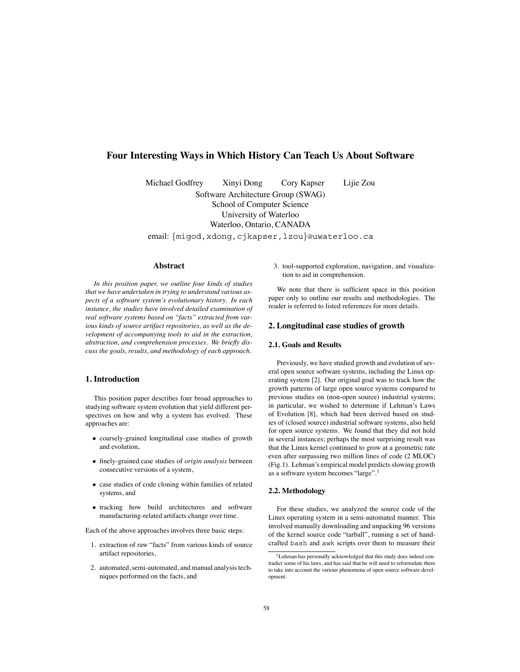# **Four Interesting Ways in Which History Can Teach Us About Software**

Michael Godfrey Xinyi Dong Cory Kapser Lijie Zou

Software Architecture Group (SWAG) School of Computer Science University of Waterloo Waterloo, Ontario, CANADA

email: {migod,xdong,cjkapser,lzou}@uwaterloo.ca

## **Abstract**

*In this position paper, we outline four kinds of studies that we have undertaken in trying to understand various aspects of a software system's evolutionary history. In each instance, the studies have involved detailed examination of real software systems based on "facts" extracted from various kinds of source artifact repositories, as well as the development of accompanying tools to aid in the extraction, abstraction, and comprehension processes. We briefly discuss the goals, results, and methodology of each approach.*

## **1. Introduction**

This position paper describes four broad approaches to studying software system evolution that yield different perspectives on how and why a system has evolved. These approaches are:

- coarsely-grained longitudinal case studies of growth and evolution,
- finely-grained case studies of *origin analysis* between consecutive versions of a system,
- case studies of code cloning within families of related systems, and
- tracking how build architectures and software manufacturing-related artifacts change over time.

Each of the above approaches involves three basic steps:

- 1. extraction of raw "facts" from various kinds of source artifact repositories,
- 2. automated, semi-automated, and manual analysis techniques performed on the facts, and

3. tool-supported exploration, navigation, and visualization to aid in comprehension.

We note that there is sufficient space in this position paper only to outline our results and methodologies. The reader is referred to listed references for more details.

## **2. Longitudinal case studies of growth**

## **2.1. Goals and Results**

Previously, we have studied growth and evolution of several open source software systems, including the Linux operating system [2]. Our original goal was to track how the growth patterns of large open source systems compared to previous studies on (non-open source) industrial systems; in particular, we wished to determine if Lehman's Laws of Evolution [8], which had been derived based on studies of (closed source) industrial software systems, also held for open source systems. We found that they did not hold in several instances; perhaps the most surprising result was that the Linux kernel continued to grow at a geometric rate even after surpassing two million lines of code (2 MLOC) (Fig.1). Lehman's empirical model predicts slowing growth as a software system becomes "large".<sup>1</sup>

## **2.2. Methodology**

For these studies, we analyzed the source code of the Linux operating system in a semi-automated manner. This involved manually downloading and unpacking 96 versions of the kernel source code "tarball", running a set of handcrafted bash and awk scripts over them to measure their

<sup>&</sup>lt;sup>1</sup>Lehman has personally acknowledged that this study does indeed contradict some of his laws, and has said that he will need to reformulate them to take into account the various phenomena of open source software development.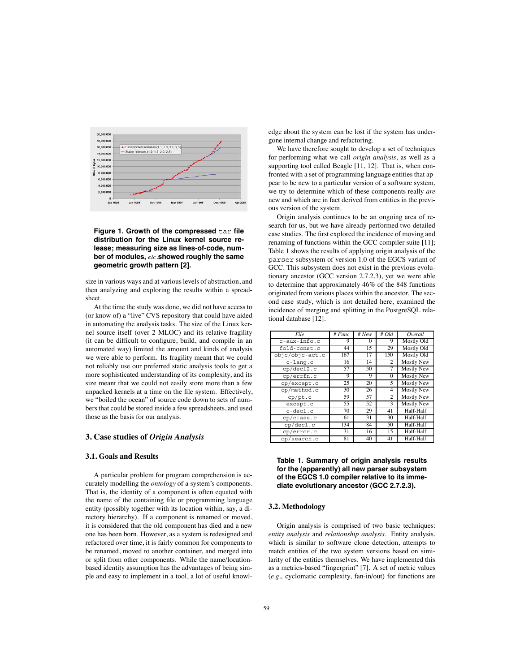

**Figure 1. Growth of the compressed** tar **file distribution for the Linux kernel source release; measuring size as lines-of-code, number of modules,** *etc.***showed roughly the same geometric growth pattern [2].**

size in various ways and at various levels of abstraction, and then analyzing and exploring the results within a spreadsheet.

At the time the study was done, we did not have access to (or know of) a "live" CVS repository that could have aided in automating the analysis tasks. The size of the Linux kernel source itself (over 2 MLOC) and its relative fragility (it can be difficult to configure, build, and compile in an automated way) limited the amount and kinds of analysis we were able to perform. Its fragility meant that we could not reliably use our preferred static analysis tools to get a more sophisticated understanding of its complexity, and its size meant that we could not easily store more than a few unpacked kernels at a time on the file system. Effectively, we "boiled the ocean" of source code down to sets of numbers that could be stored inside a few spreadsheets, and used those as the basis for our analysis.

### **3. Case studies of** *Origin Analysis*

#### **3.1. Goals and Results**

A particular problem for program comprehension is accurately modelling the *ontology* of a system's components. That is, the identity of a component is often equated with the name of the containing file or programming language entity (possibly together with its location within, say, a directory hierarchy). If a component is renamed or moved, it is considered that the old component has died and a new one has been born. However, as a system is redesigned and refactored over time, it is fairly common for components to be renamed, moved to another container, and merged into or split from other components. While the name/locationbased identity assumption has the advantages of being simple and easy to implement in a tool, a lot of useful knowledge about the system can be lost if the system has undergone internal change and refactoring.

We have therefore sought to develop a set of techniques for performing what we call *origin analysis*, as well as a supporting tool called Beagle [11, 12]. That is, when confronted with a set of programming language entities that appear to be new to a particular version of a software system, we try to determine which of these components really *are* new and which are in fact derived from entities in the previous version of the system.

Origin analysis continues to be an ongoing area of research for us, but we have already performed two detailed case studies. The first explored the incidence of moving and renaming of functions within the GCC compiler suite [11]; Table 1 shows the results of applying origin analysis of the parser subsystem of version 1.0 of the EGCS variant of GCC. This subsystem does not exist in the previous evolutionary ancestor (GCC version 2.7.2.3), yet we were able to determine that approximately 46% of the 848 functions originated from various places within the ancestor. The second case study, which is not detailed here, examined the incidence of merging and splitting in the PostgreSQL relational database [12].

| File            | # $Func$ | $\overline{\#}$ New | # Old          | Overall           |
|-----------------|----------|---------------------|----------------|-------------------|
| $c$ -aux-info.c | 9        | $\Omega$            | 9              | Mostly Old        |
| fold-const.c    | 44       | 15                  | 29             | Mostly Old        |
| objc/objc-act.c | 167      | 17                  | 150            | Mostly Old        |
| $c$ -lang. $c$  | 16       | 14                  | 2              | <b>Mostly New</b> |
| cp/decl2.c      | 57       | 50                  | 7              | <b>Mostly New</b> |
| cp/errfn.c      | 9        | 9                   | 0              | <b>Mostly New</b> |
| cp/except.c     | 25       | 20                  | 5              | <b>Mostly New</b> |
| cp/method.c     | 30       | 26                  | 4              | Mostly New        |
| cp/pt.c         | 59       | 57                  | $\overline{c}$ | <b>Mostly New</b> |
| except.c        | 55       | 52                  | 3              | <b>Mostly New</b> |
| c-decl.c        | 70       | 29                  | 41             | Half-Half         |
| cp/class.c      | 61       | 31                  | 30             | Half-Half         |
| cp/decl.c       | 134      | 84                  | 50             | Half-Half         |
| cp/error.c      | 31       | 16                  | 15             | Half-Half         |
| cp/search.c     | 81       | 40                  | 41             | Half-Half         |

| Table 1. Summary of origin analysis results    |
|------------------------------------------------|
| for the (apparently) all new parser subsystem  |
| of the EGCS 1.0 compiler relative to its imme- |
| diate evolutionary ancestor (GCC 2.7.2.3).     |

#### **3.2. Methodology**

Origin analysis is comprised of two basic techniques: *entity analysis* and *relationship analysis*. Entity analysis, which is similar to software clone detection, attempts to match entities of the two system versions based on similarity of the entities themselves. We have implemented this as a metrics-based "fingerprint" [7]. A set of metric values (*e.g.,* cyclomatic complexity, fan-in/out) for functions are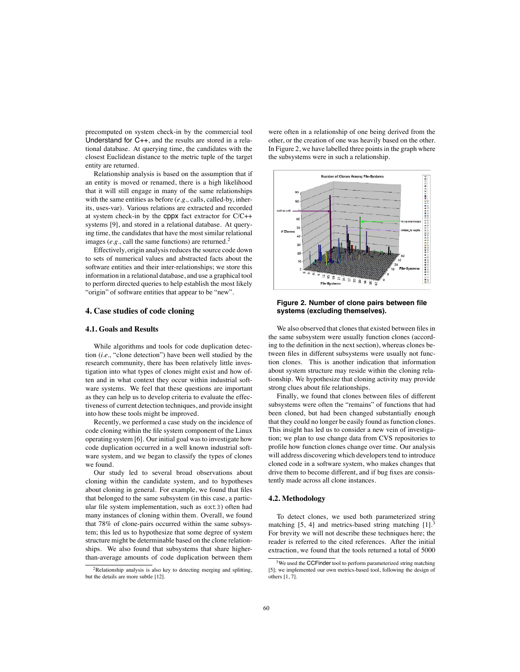precomputed on system check-in by the commercial tool Understand for C++, and the results are stored in a relational database. At querying time, the candidates with the closest Euclidean distance to the metric tuple of the target entity are returned.

Relationship analysis is based on the assumption that if an entity is moved or renamed, there is a high likelihood that it will still engage in many of the same relationships with the same entities as before (*e.g.,* calls, called-by, inherits, uses-var). Various relations are extracted and recorded at system check-in by the cppx fact extractor for C/C++ systems [9], and stored in a relational database. At querying time, the candidates that have the most similar relational images ( $e.g.,$  call the same functions) are returned.<sup>2</sup>

Effectively, origin analysis reduces the source code down to sets of numerical values and abstracted facts about the software entities and their inter-relationships; we store this information in a relational database, and use a graphical tool to perform directed queries to help establish the most likely "origin" of software entities that appear to be "new".

### **4. Case studies of code cloning**

#### **4.1. Goals and Results**

While algorithms and tools for code duplication detection (*i.e.,* "clone detection") have been well studied by the research community, there has been relatively little investigation into what types of clones might exist and how often and in what context they occur within industrial software systems. We feel that these questions are important as they can help us to develop criteria to evaluate the effectiveness of current detection techniques, and provide insight into how these tools might be improved.

Recently, we performed a case study on the incidence of code cloning within the file system component of the Linux operating system [6]. Our initial goal was to investigate how code duplication occurred in a well known industrial software system, and we began to classify the types of clones we found.

Our study led to several broad observations about cloning within the candidate system, and to hypotheses about cloning in general. For example, we found that files that belonged to the same subsystem (in this case, a particular file system implementation, such as ext3) often had many instances of cloning within them. Overall, we found that 78% of clone-pairs occurred within the same subsystem; this led us to hypothesize that some degree of system structure might be determinable based on the clone relationships. We also found that subsystems that share higherthan-average amounts of code duplication between them

were often in a relationship of one being derived from the other, or the creation of one was heavily based on the other. In Figure 2, we have labelled three points in the graph where the subsystems were in such a relationship.



**Figure 2. Number of clone pairs between file systems (excluding themselves).**

We also observed that clones that existed between files in the same subsystem were usually function clones (according to the definition in the next section), whereas clones between files in different subsystems were usually not function clones. This is another indication that information about system structure may reside within the cloning relationship. We hypothesize that cloning activity may provide strong clues about file relationships.

Finally, we found that clones between files of different subsystems were often the "remains" of functions that had been cloned, but had been changed substantially enough that they could no longer be easily found as function clones. This insight has led us to consider a new vein of investigation; we plan to use change data from CVS repositories to profile how function clones change over time. Our analysis will address discovering which developers tend to introduce cloned code in a software system, who makes changes that drive them to become different, and if bug fixes are consistently made across all clone instances.

# **4.2. Methodology**

To detect clones, we used both parameterized string matching  $[5, 4]$  and metrics-based string matching  $[1].<sup>3</sup>$ For brevity we will not describe these techniques here; the reader is referred to the cited references. After the initial extraction, we found that the tools returned a total of 5000

 $2$ Relationship analysis is also key to detecting merging and splitting, but the details are more subtle [12].

<sup>&</sup>lt;sup>3</sup>We used the CCFinder tool to perform parameterized string matching [5]; we implemented our own metrics-based tool, following the design of others [1, 7].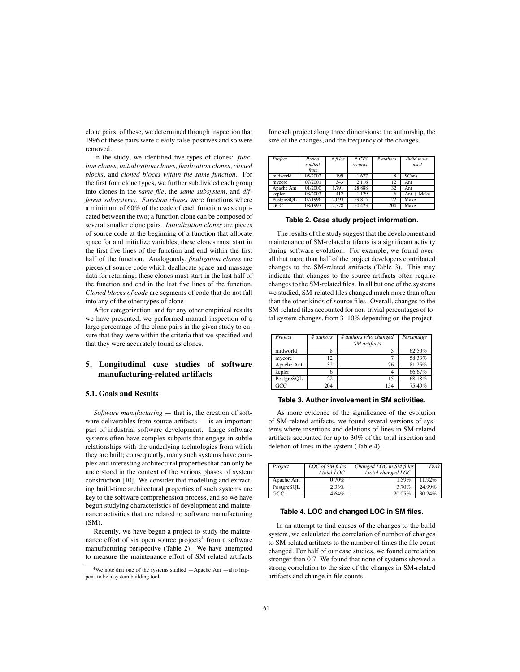clone pairs; of these, we determined through inspection that 1996 of these pairs were clearly false-positives and so were removed.

In the study, we identified five types of clones: *function clones*, *initialization clones*, *finalization clones*, *cloned blocks*, and *cloned blocks within the same function*. For the first four clone types, we further subdivided each group into clones in the *same file*, the *same subsystem*, and *different subsystems*. *Function clones* were functions where a minimum of 60% of the code of each function was duplicated between the two; a function clone can be composed of several smaller clone pairs. *Initialization clones* are pieces of source code at the beginning of a function that allocate space for and initialize variables; these clones must start in the first five lines of the function and end within the first half of the function. Analogously, *finalization clones* are pieces of source code which deallocate space and massage data for returning; these clones must start in the last half of the function and end in the last five lines of the function. *Cloned blocks of code* are segments of code that do not fall into any of the other types of clone

After categorization, and for any other empirical results we have presented, we performed manual inspection of a large percentage of the clone pairs in the given study to ensure that they were within the criteria that we specified and that they were accurately found as clones.

# **5. Longitudinal case studies of software manufacturing-related artifacts**

### **5.1. Goals and Results**

*Software manufacturing* — that is, the creation of software deliverables from source artifacts  $-$  is an important part of industrial software development. Large software systems often have complex subparts that engage in subtle relationships with the underlying technologies from which they are built; consequently, many such systems have complex and interesting architectural properties that can only be understood in the context of the various phases of system construction [10]. We consider that modelling and extracting build-time architectural properties of such systems are key to the software comprehension process, and so we have begun studying characteristics of development and maintenance activities that are related to software manufacturing (SM).

Recently, we have begun a project to study the maintenance effort of six open source projects<sup>4</sup> from a software manufacturing perspective (Table 2). We have attempted to measure the maintenance effort of SM-related artifacts for each project along three dimensions: the authorship, the size of the changes, and the frequency of the changes.

| Project    | Period  | $#$ fi les | #CVS    | # authors | <b>Build</b> tools |
|------------|---------|------------|---------|-----------|--------------------|
|            | studied |            | records |           | used               |
|            | from    |            |         |           |                    |
| midworld   | 05/2002 | 199        | 1.677   | 8         | <b>SCons</b>       |
| mycore     | 07/2001 | 343        | 2.116   | 12        | Ant                |
| Apache Ant | 01/2000 | 1.791      | 28,888  | 32        | Ant                |
| kepler     | 08/2003 | 412        | 1.129   | o         | $Ant + Make$       |
| PostgreSOL | 07/1996 | 2.093      | 59.815  | 22        | Make               |
| GCC        | 08/1997 | 17.378     | 150,423 | 204       | Make               |

**Table 2. Case study project information.**

The results of the study suggest that the development and maintenance of SM-related artifacts is a significant activity during software evolution. For example, we found overall that more than half of the project developers contributed changes to the SM-related artifacts (Table 3). This may indicate that changes to the source artifacts often require changes to the SM-related files. In all but one of the systems we studied, SM-related files changed much more than often than the other kinds of source files. Overall, changes to the SM-related files accounted for non-trivial percentages of total system changes, from 3–10% depending on the project.

| Project    | # authors | # authors who changed<br>SM artifacts | Percentage |
|------------|-----------|---------------------------------------|------------|
| midworld   | 8         |                                       | 62.50%     |
| mycore     | 12        |                                       | 58.33%     |
| Apache Ant | 32        | 26                                    | 81.25%     |
| kepler     |           |                                       | 66.67%     |
| PostgreSOL | 22        | 15                                    | 68.18%     |
| GCC        | 204       | 154                                   | 75.49%     |

#### **Table 3. Author involvement in SM activities.**

As more evidence of the significance of the evolution of SM-related artifacts, we found several versions of systems where insertions and deletions of lines in SM-related artifacts accounted for up to 30% of the total insertion and deletion of lines in the system (Table 4).

| Project    | LOC of SM fi les | Changed LOC in SM fi les | Peak   |
|------------|------------------|--------------------------|--------|
|            | / total LOC      | / total changed LOC      |        |
| Apache Ant | 0.70%            | 1.59%                    | 11.92% |
| PostgreSQL | 2.33%            | 3.70%                    | 24.99% |
| GCC        | 4.64%            | 20.05%                   | 30.24% |

#### **Table 4. LOC and changed LOC in SM files.**

In an attempt to find causes of the changes to the build system, we calculated the correlation of number of changes to SM-related artifacts to the number of times the file count changed. For half of our case studies, we found correlation stronger than 0.7. We found that none of systems showed a strong correlation to the size of the changes in SM-related artifacts and change in file counts.

<sup>&</sup>lt;sup>4</sup>We note that one of the systems studied  $-A$ pache Ant  $-A$ lso happens to be a system building tool.